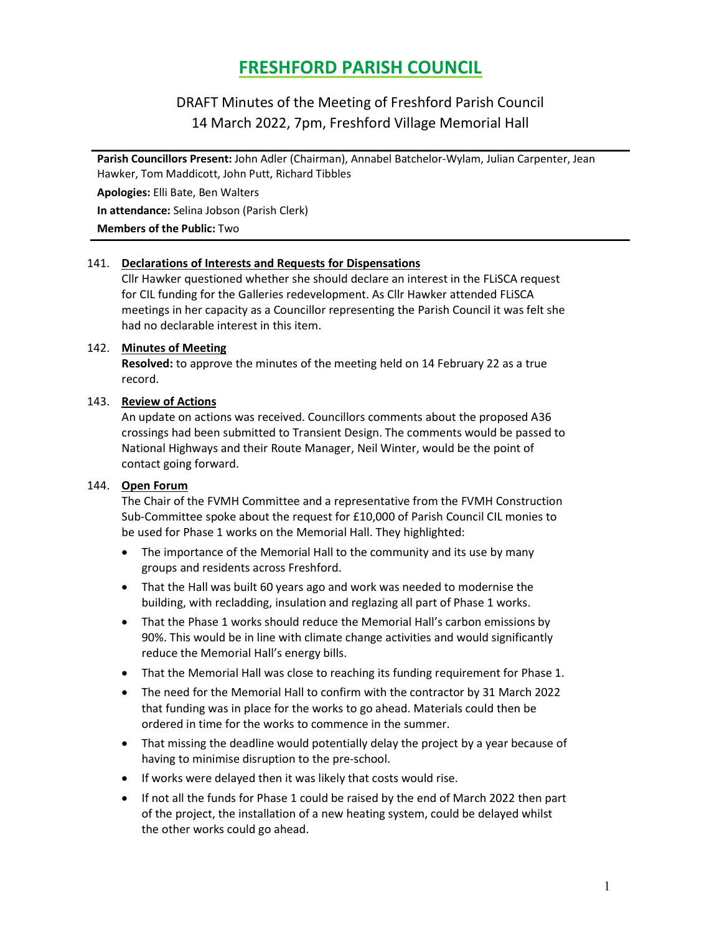# FRESHFORD PARISH COUNCIL

# DRAFT Minutes of the Meeting of Freshford Parish Council 14 March 2022, 7pm, Freshford Village Memorial Hall

Parish Councillors Present: John Adler (Chairman), Annabel Batchelor-Wylam, Julian Carpenter, Jean Hawker, Tom Maddicott, John Putt, Richard Tibbles

Apologies: Elli Bate, Ben Walters

In attendance: Selina Jobson (Parish Clerk)

Members of the Public: Two

#### 141. Declarations of Interests and Requests for Dispensations

Cllr Hawker questioned whether she should declare an interest in the FLiSCA request for CIL funding for the Galleries redevelopment. As Cllr Hawker attended FLiSCA meetings in her capacity as a Councillor representing the Parish Council it was felt she had no declarable interest in this item.

#### 142. Minutes of Meeting

Resolved: to approve the minutes of the meeting held on 14 February 22 as a true record.

#### 143. Review of Actions

An update on actions was received. Councillors comments about the proposed A36 crossings had been submitted to Transient Design. The comments would be passed to National Highways and their Route Manager, Neil Winter, would be the point of contact going forward.

# 144. Open Forum

The Chair of the FVMH Committee and a representative from the FVMH Construction Sub-Committee spoke about the request for £10,000 of Parish Council CIL monies to be used for Phase 1 works on the Memorial Hall. They highlighted:

- The importance of the Memorial Hall to the community and its use by many groups and residents across Freshford.
- That the Hall was built 60 years ago and work was needed to modernise the building, with recladding, insulation and reglazing all part of Phase 1 works.
- That the Phase 1 works should reduce the Memorial Hall's carbon emissions by 90%. This would be in line with climate change activities and would significantly reduce the Memorial Hall's energy bills.
- That the Memorial Hall was close to reaching its funding requirement for Phase 1.
- The need for the Memorial Hall to confirm with the contractor by 31 March 2022 that funding was in place for the works to go ahead. Materials could then be ordered in time for the works to commence in the summer.
- That missing the deadline would potentially delay the project by a year because of having to minimise disruption to the pre-school.
- If works were delayed then it was likely that costs would rise.
- If not all the funds for Phase 1 could be raised by the end of March 2022 then part of the project, the installation of a new heating system, could be delayed whilst the other works could go ahead.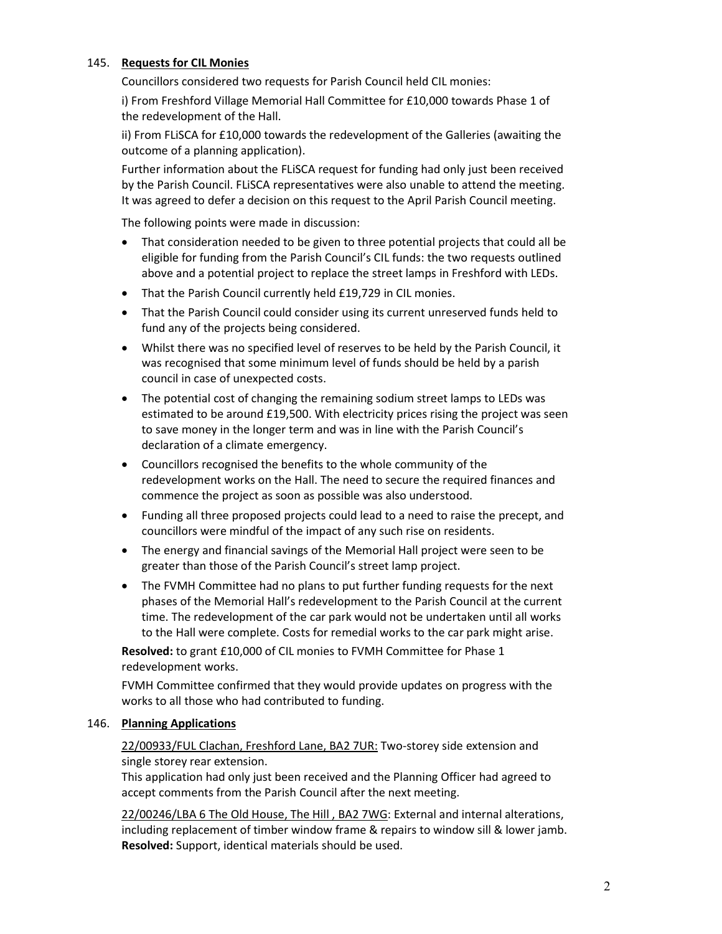#### 145. Requests for CIL Monies

Councillors considered two requests for Parish Council held CIL monies:

i) From Freshford Village Memorial Hall Committee for £10,000 towards Phase 1 of the redevelopment of the Hall.

ii) From FLiSCA for £10,000 towards the redevelopment of the Galleries (awaiting the outcome of a planning application).

Further information about the FLiSCA request for funding had only just been received by the Parish Council. FLiSCA representatives were also unable to attend the meeting. It was agreed to defer a decision on this request to the April Parish Council meeting.

The following points were made in discussion:

- That consideration needed to be given to three potential projects that could all be eligible for funding from the Parish Council's CIL funds: the two requests outlined above and a potential project to replace the street lamps in Freshford with LEDs.
- That the Parish Council currently held £19,729 in CIL monies.
- That the Parish Council could consider using its current unreserved funds held to fund any of the projects being considered.
- Whilst there was no specified level of reserves to be held by the Parish Council, it was recognised that some minimum level of funds should be held by a parish council in case of unexpected costs.
- The potential cost of changing the remaining sodium street lamps to LEDs was estimated to be around £19,500. With electricity prices rising the project was seen to save money in the longer term and was in line with the Parish Council's declaration of a climate emergency.
- Councillors recognised the benefits to the whole community of the redevelopment works on the Hall. The need to secure the required finances and commence the project as soon as possible was also understood.
- Funding all three proposed projects could lead to a need to raise the precept, and councillors were mindful of the impact of any such rise on residents.
- The energy and financial savings of the Memorial Hall project were seen to be greater than those of the Parish Council's street lamp project.
- The FVMH Committee had no plans to put further funding requests for the next phases of the Memorial Hall's redevelopment to the Parish Council at the current time. The redevelopment of the car park would not be undertaken until all works to the Hall were complete. Costs for remedial works to the car park might arise.

Resolved: to grant £10,000 of CIL monies to FVMH Committee for Phase 1 redevelopment works.

FVMH Committee confirmed that they would provide updates on progress with the works to all those who had contributed to funding.

# 146. Planning Applications

22/00933/FUL Clachan, Freshford Lane, BA2 7UR: Two-storey side extension and single storey rear extension.

This application had only just been received and the Planning Officer had agreed to accept comments from the Parish Council after the next meeting.

22/00246/LBA 6 The Old House, The Hill , BA2 7WG: External and internal alterations, including replacement of timber window frame & repairs to window sill & lower jamb. Resolved: Support, identical materials should be used.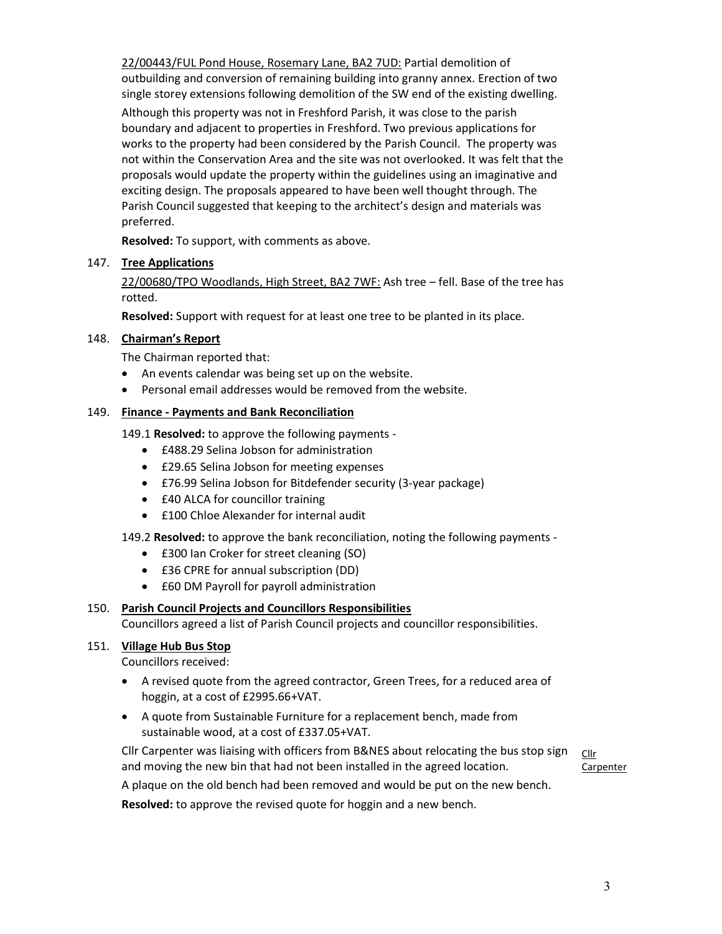22/00443/FUL Pond House, Rosemary Lane, BA2 7UD: Partial demolition of outbuilding and conversion of remaining building into granny annex. Erection of two single storey extensions following demolition of the SW end of the existing dwelling.

Although this property was not in Freshford Parish, it was close to the parish boundary and adjacent to properties in Freshford. Two previous applications for works to the property had been considered by the Parish Council. The property was not within the Conservation Area and the site was not overlooked. It was felt that the proposals would update the property within the guidelines using an imaginative and exciting design. The proposals appeared to have been well thought through. The Parish Council suggested that keeping to the architect's design and materials was preferred.

Resolved: To support, with comments as above.

# 147. Tree Applications

22/00680/TPO Woodlands, High Street, BA2 7WF: Ash tree – fell. Base of the tree has rotted.

Resolved: Support with request for at least one tree to be planted in its place.

# 148. Chairman's Report

The Chairman reported that:

- An events calendar was being set up on the website.
- Personal email addresses would be removed from the website.

# 149. Finance - Payments and Bank Reconciliation

149.1 Resolved: to approve the following payments -

- £488.29 Selina Jobson for administration
- £29.65 Selina Jobson for meeting expenses
- £76.99 Selina Jobson for Bitdefender security (3-year package)
- **£40 ALCA for councillor training**
- £100 Chloe Alexander for internal audit

# 149.2 Resolved: to approve the bank reconciliation, noting the following payments -

- £300 Ian Croker for street cleaning (SO)
- £36 CPRE for annual subscription (DD)
- £60 DM Payroll for payroll administration

# 150. Parish Council Projects and Councillors Responsibilities

Councillors agreed a list of Parish Council projects and councillor responsibilities.

# 151. Village Hub Bus Stop

Councillors received:

- A revised quote from the agreed contractor, Green Trees, for a reduced area of hoggin, at a cost of £2995.66+VAT.
- A quote from Sustainable Furniture for a replacement bench, made from sustainable wood, at a cost of £337.05+VAT.

Cllr Carpenter was liaising with officers from B&NES about relocating the bus stop sign and moving the new bin that had not been installed in the agreed location.

Cllr **Carpenter** 

A plaque on the old bench had been removed and would be put on the new bench.

Resolved: to approve the revised quote for hoggin and a new bench.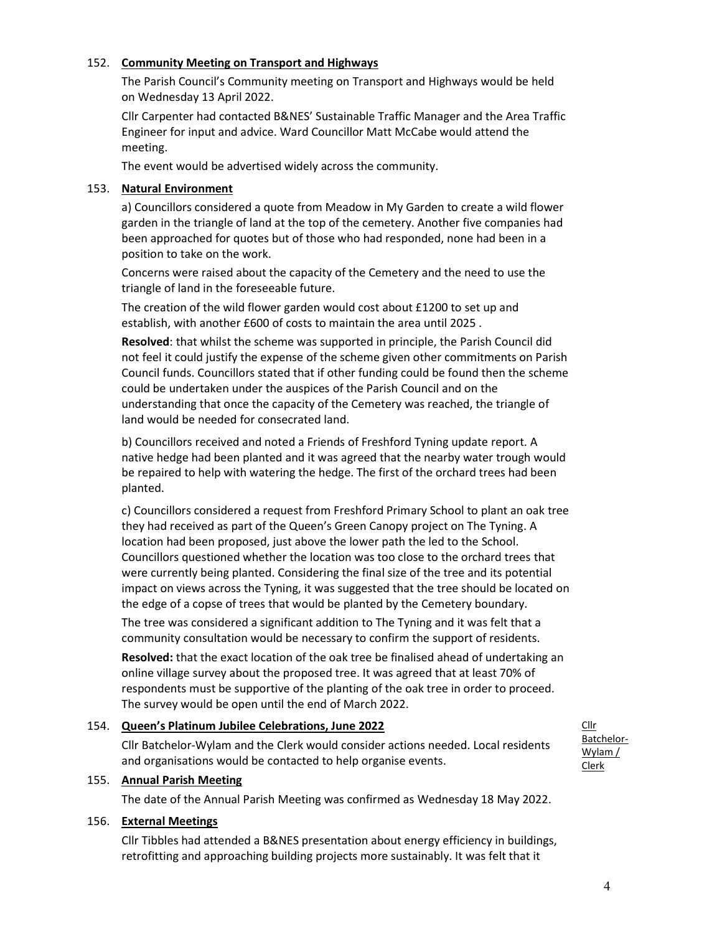#### 152. Community Meeting on Transport and Highways

The Parish Council's Community meeting on Transport and Highways would be held on Wednesday 13 April 2022.

Cllr Carpenter had contacted B&NES' Sustainable Traffic Manager and the Area Traffic Engineer for input and advice. Ward Councillor Matt McCabe would attend the meeting.

The event would be advertised widely across the community.

#### 153. Natural Environment

a) Councillors considered a quote from Meadow in My Garden to create a wild flower garden in the triangle of land at the top of the cemetery. Another five companies had been approached for quotes but of those who had responded, none had been in a position to take on the work.

Concerns were raised about the capacity of the Cemetery and the need to use the triangle of land in the foreseeable future.

The creation of the wild flower garden would cost about £1200 to set up and establish, with another £600 of costs to maintain the area until 2025 .

Resolved: that whilst the scheme was supported in principle, the Parish Council did not feel it could justify the expense of the scheme given other commitments on Parish Council funds. Councillors stated that if other funding could be found then the scheme could be undertaken under the auspices of the Parish Council and on the understanding that once the capacity of the Cemetery was reached, the triangle of land would be needed for consecrated land.

b) Councillors received and noted a Friends of Freshford Tyning update report. A native hedge had been planted and it was agreed that the nearby water trough would be repaired to help with watering the hedge. The first of the orchard trees had been planted.

c) Councillors considered a request from Freshford Primary School to plant an oak tree they had received as part of the Queen's Green Canopy project on The Tyning. A location had been proposed, just above the lower path the led to the School. Councillors questioned whether the location was too close to the orchard trees that were currently being planted. Considering the final size of the tree and its potential impact on views across the Tyning, it was suggested that the tree should be located on the edge of a copse of trees that would be planted by the Cemetery boundary.

The tree was considered a significant addition to The Tyning and it was felt that a community consultation would be necessary to confirm the support of residents.

Resolved: that the exact location of the oak tree be finalised ahead of undertaking an online village survey about the proposed tree. It was agreed that at least 70% of respondents must be supportive of the planting of the oak tree in order to proceed. The survey would be open until the end of March 2022.

# 154. Queen's Platinum Jubilee Celebrations, June 2022 Cllr Batchelor-Wylam and the Clerk would consider actions needed. Local residents and organisations would be contacted to help organise events.

#### 155. Annual Parish Meeting

The date of the Annual Parish Meeting was confirmed as Wednesday 18 May 2022.

#### 156. External Meetings

Cllr Tibbles had attended a B&NES presentation about energy efficiency in buildings, retrofitting and approaching building projects more sustainably. It was felt that it

Cllr Batchelor-Wylam / Clerk